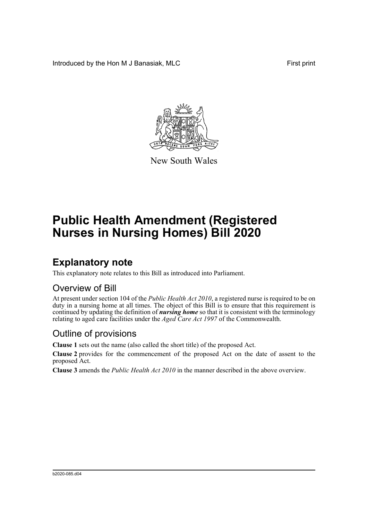Introduced by the Hon M J Banasiak, MLC First print



New South Wales

# **Public Health Amendment (Registered Nurses in Nursing Homes) Bill 2020**

## **Explanatory note**

This explanatory note relates to this Bill as introduced into Parliament.

#### Overview of Bill

At present under section 104 of the *Public Health Act 2010*, a registered nurse is required to be on duty in a nursing home at all times. The object of this Bill is to ensure that this requirement is continued by updating the definition of *nursing home* so that it is consistent with the terminology relating to aged care facilities under the *Aged Care Act 1997* of the Commonwealth.

#### Outline of provisions

**Clause 1** sets out the name (also called the short title) of the proposed Act.

**Clause 2** provides for the commencement of the proposed Act on the date of assent to the proposed Act.

**Clause 3** amends the *Public Health Act 2010* in the manner described in the above overview.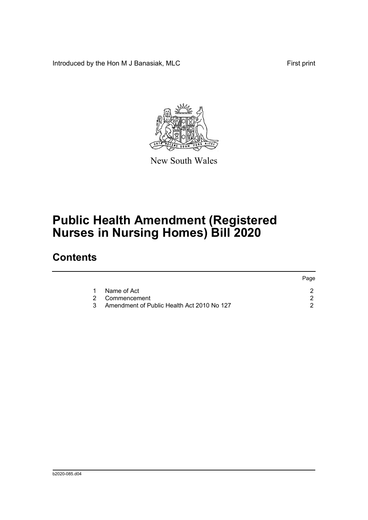Introduced by the Hon M J Banasiak, MLC First print

 $P^2$ 



New South Wales

## **Public Health Amendment (Registered Nurses in Nursing Homes) Bill 2020**

### **Contents**

|  |                                            | Page. |
|--|--------------------------------------------|-------|
|  | Name of Act                                |       |
|  | 2 Commencement                             |       |
|  | Amendment of Public Health Act 2010 No 127 |       |
|  |                                            |       |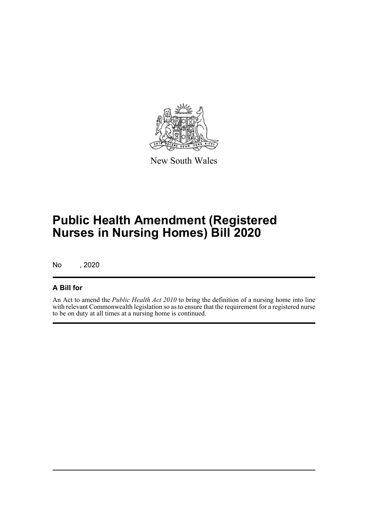

New South Wales

## **Public Health Amendment (Registered Nurses in Nursing Homes) Bill 2020**

No , 2020

#### **A Bill for**

An Act to amend the *Public Health Act 2010* to bring the definition of a nursing home into line with relevant Commonwealth legislation so as to ensure that the requirement for a registered nurse to be on duty at all times at a nursing home is continued.